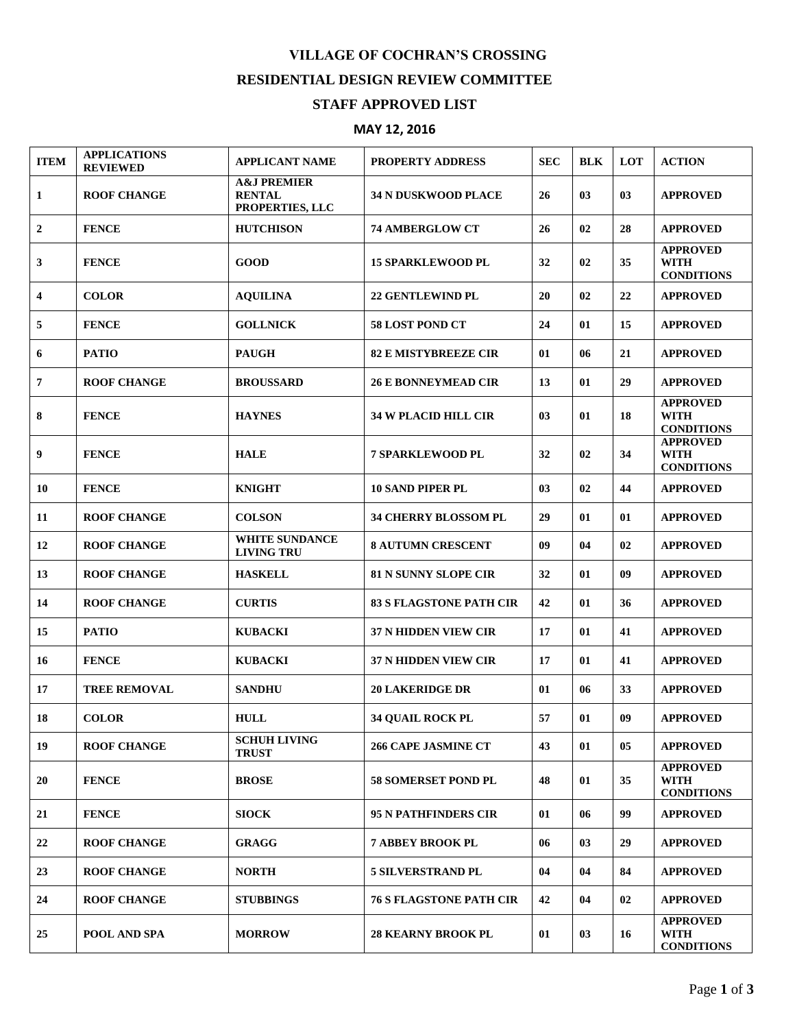## **VILLAGE OF COCHRAN'S CROSSING RESIDENTIAL DESIGN REVIEW COMMITTEE**

## **STAFF APPROVED LIST**

## **MAY 12, 2016**

| <b>ITEM</b>             | <b>APPLICATIONS</b><br><b>REVIEWED</b> | <b>APPLICANT NAME</b>                                      | <b>PROPERTY ADDRESS</b>        | <b>SEC</b> | <b>BLK</b> | <b>LOT</b> | <b>ACTION</b>                                       |
|-------------------------|----------------------------------------|------------------------------------------------------------|--------------------------------|------------|------------|------------|-----------------------------------------------------|
| 1                       | <b>ROOF CHANGE</b>                     | <b>A&amp;J PREMIER</b><br><b>RENTAL</b><br>PROPERTIES, LLC | 34 N DUSKWOOD PLACE            | 26         | 03         | 03         | <b>APPROVED</b>                                     |
| $\boldsymbol{2}$        | <b>FENCE</b>                           | <b>HUTCHISON</b>                                           | <b>74 AMBERGLOW CT</b>         | 26         | 02         | 28         | <b>APPROVED</b>                                     |
| 3                       | <b>FENCE</b>                           | <b>GOOD</b>                                                | <b>15 SPARKLEWOOD PL</b>       | 32         | 02         | 35         | <b>APPROVED</b><br><b>WITH</b><br><b>CONDITIONS</b> |
| $\overline{\mathbf{4}}$ | <b>COLOR</b>                           | <b>AQUILINA</b>                                            | <b>22 GENTLEWIND PL</b>        | 20         | 02         | 22         | <b>APPROVED</b>                                     |
| 5                       | <b>FENCE</b>                           | <b>GOLLNICK</b>                                            | 58 LOST POND CT                | 24         | 01         | 15         | <b>APPROVED</b>                                     |
| 6                       | <b>PATIO</b>                           | <b>PAUGH</b>                                               | <b>82 E MISTYBREEZE CIR</b>    | 01         | 06         | 21         | <b>APPROVED</b>                                     |
| $\overline{7}$          | <b>ROOF CHANGE</b>                     | <b>BROUSSARD</b>                                           | <b>26 E BONNEYMEAD CIR</b>     | 13         | 01         | 29         | <b>APPROVED</b>                                     |
| 8                       | <b>FENCE</b>                           | <b>HAYNES</b>                                              | <b>34 W PLACID HILL CIR</b>    | 03         | 01         | 18         | <b>APPROVED</b><br><b>WITH</b><br><b>CONDITIONS</b> |
| 9                       | <b>FENCE</b>                           | <b>HALE</b>                                                | <b>7 SPARKLEWOOD PL</b>        | 32         | 02         | 34         | <b>APPROVED</b><br><b>WITH</b><br><b>CONDITIONS</b> |
| 10                      | <b>FENCE</b>                           | <b>KNIGHT</b>                                              | <b>10 SAND PIPER PL</b>        | 03         | 02         | 44         | <b>APPROVED</b>                                     |
| 11                      | <b>ROOF CHANGE</b>                     | <b>COLSON</b>                                              | <b>34 CHERRY BLOSSOM PL</b>    | 29         | 01         | 01         | <b>APPROVED</b>                                     |
| 12                      | <b>ROOF CHANGE</b>                     | <b>WHITE SUNDANCE</b><br><b>LIVING TRU</b>                 | <b>8 AUTUMN CRESCENT</b>       | 09         | 04         | 02         | <b>APPROVED</b>                                     |
| 13                      | <b>ROOF CHANGE</b>                     | <b>HASKELL</b>                                             | <b>81 N SUNNY SLOPE CIR</b>    | 32         | 01         | 09         | <b>APPROVED</b>                                     |
| 14                      | <b>ROOF CHANGE</b>                     | <b>CURTIS</b>                                              | <b>83 S FLAGSTONE PATH CIR</b> | 42         | 01         | 36         | <b>APPROVED</b>                                     |
| 15                      | <b>PATIO</b>                           | <b>KUBACKI</b>                                             | <b>37 N HIDDEN VIEW CIR</b>    | 17         | 01         | 41         | <b>APPROVED</b>                                     |
| 16                      | <b>FENCE</b>                           | <b>KUBACKI</b>                                             | <b>37 N HIDDEN VIEW CIR</b>    | 17         | 01         | 41         | <b>APPROVED</b>                                     |
| 17                      | <b>TREE REMOVAL</b>                    | <b>SANDHU</b>                                              | <b>20 LAKERIDGE DR</b>         | 01         | 06         | 33         | <b>APPROVED</b>                                     |
| 18                      | <b>COLOR</b>                           | <b>HULL</b>                                                | <b>34 OUAIL ROCK PL</b>        | 57         | 01         | 09         | <b>APPROVED</b>                                     |
| 19                      | <b>ROOF CHANGE</b>                     | <b>SCHUH LIVING</b><br><b>TRUST</b>                        | <b>266 CAPE JASMINE CT</b>     | 43         | 01         | 05         | <b>APPROVED</b>                                     |
| 20                      | <b>FENCE</b>                           | <b>BROSE</b>                                               | <b>58 SOMERSET POND PL</b>     | 48         | 01         | 35         | <b>APPROVED</b><br><b>WITH</b><br><b>CONDITIONS</b> |
| 21                      | <b>FENCE</b>                           | <b>SIOCK</b>                                               | <b>95 N PATHFINDERS CIR</b>    | 01         | 06         | 99         | <b>APPROVED</b>                                     |
| 22                      | <b>ROOF CHANGE</b>                     | <b>GRAGG</b>                                               | <b>7 ABBEY BROOK PL</b>        | 06         | 03         | 29         | <b>APPROVED</b>                                     |
| 23                      | <b>ROOF CHANGE</b>                     | <b>NORTH</b>                                               | <b>5 SILVERSTRAND PL</b>       | 04         | 04         | 84         | <b>APPROVED</b>                                     |
| 24                      | <b>ROOF CHANGE</b>                     | <b>STUBBINGS</b>                                           | <b>76 S FLAGSTONE PATH CIR</b> | 42         | 04         | 02         | <b>APPROVED</b>                                     |
| 25                      | <b>POOL AND SPA</b>                    | <b>MORROW</b>                                              | <b>28 KEARNY BROOK PL</b>      | 01         | 03         | 16         | <b>APPROVED</b><br><b>WITH</b><br><b>CONDITIONS</b> |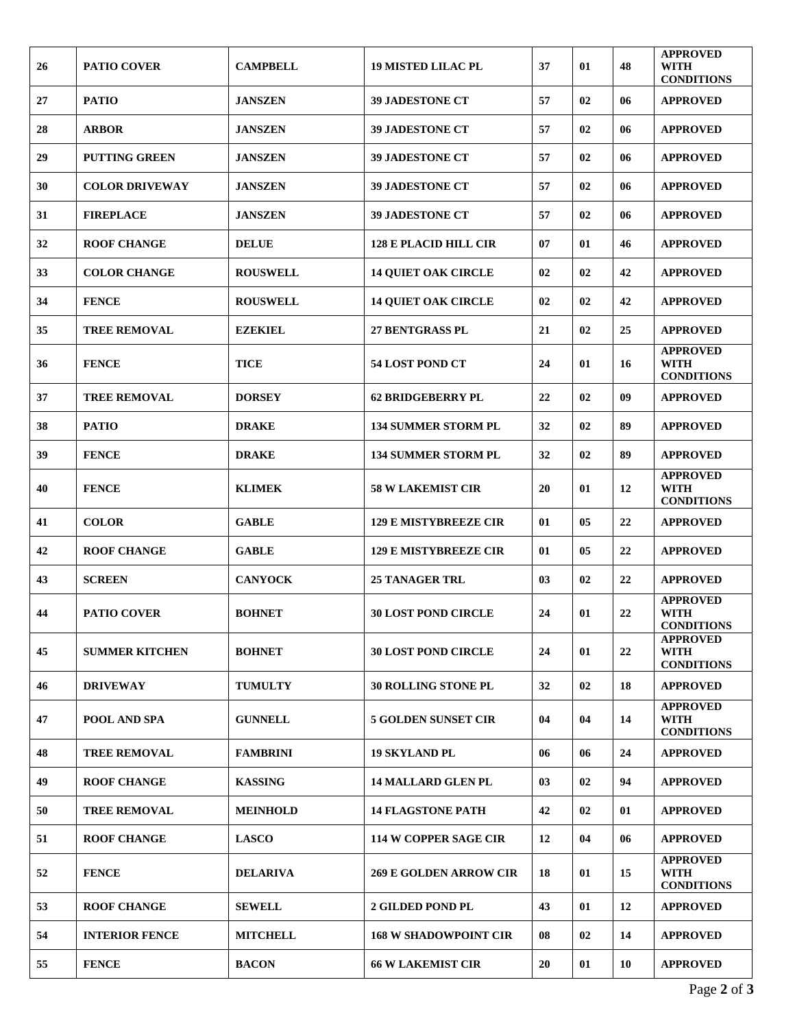| 26 | <b>PATIO COVER</b>    | <b>CAMPBELL</b> | <b>19 MISTED LILAC PL</b>     | 37 | 01 | 48 | <b>APPROVED</b><br><b>WITH</b><br><b>CONDITIONS</b> |
|----|-----------------------|-----------------|-------------------------------|----|----|----|-----------------------------------------------------|
| 27 | <b>PATIO</b>          | <b>JANSZEN</b>  | <b>39 JADESTONE CT</b>        | 57 | 02 | 06 | <b>APPROVED</b>                                     |
| 28 | <b>ARBOR</b>          | <b>JANSZEN</b>  | <b>39 JADESTONE CT</b>        | 57 | 02 | 06 | <b>APPROVED</b>                                     |
| 29 | <b>PUTTING GREEN</b>  | <b>JANSZEN</b>  | <b>39 JADESTONE CT</b>        | 57 | 02 | 06 | <b>APPROVED</b>                                     |
| 30 | <b>COLOR DRIVEWAY</b> | <b>JANSZEN</b>  | <b>39 JADESTONE CT</b>        | 57 | 02 | 06 | <b>APPROVED</b>                                     |
| 31 | <b>FIREPLACE</b>      | <b>JANSZEN</b>  | <b>39 JADESTONE CT</b>        | 57 | 02 | 06 | <b>APPROVED</b>                                     |
| 32 | <b>ROOF CHANGE</b>    | <b>DELUE</b>    | <b>128 E PLACID HILL CIR</b>  | 07 | 01 | 46 | <b>APPROVED</b>                                     |
| 33 | <b>COLOR CHANGE</b>   | <b>ROUSWELL</b> | <b>14 QUIET OAK CIRCLE</b>    | 02 | 02 | 42 | <b>APPROVED</b>                                     |
| 34 | <b>FENCE</b>          | <b>ROUSWELL</b> | <b>14 QUIET OAK CIRCLE</b>    | 02 | 02 | 42 | <b>APPROVED</b>                                     |
| 35 | <b>TREE REMOVAL</b>   | <b>EZEKIEL</b>  | <b>27 BENTGRASS PL</b>        | 21 | 02 | 25 | <b>APPROVED</b>                                     |
| 36 | <b>FENCE</b>          | <b>TICE</b>     | <b>54 LOST POND CT</b>        | 24 | 01 | 16 | <b>APPROVED</b><br><b>WITH</b><br><b>CONDITIONS</b> |
| 37 | <b>TREE REMOVAL</b>   | <b>DORSEY</b>   | <b>62 BRIDGEBERRY PL</b>      | 22 | 02 | 09 | <b>APPROVED</b>                                     |
| 38 | <b>PATIO</b>          | <b>DRAKE</b>    | <b>134 SUMMER STORM PL</b>    | 32 | 02 | 89 | <b>APPROVED</b>                                     |
| 39 | <b>FENCE</b>          | <b>DRAKE</b>    | <b>134 SUMMER STORM PL</b>    | 32 | 02 | 89 | <b>APPROVED</b>                                     |
| 40 | <b>FENCE</b>          | <b>KLIMEK</b>   | <b>58 W LAKEMIST CIR</b>      | 20 | 01 | 12 | <b>APPROVED</b><br><b>WITH</b><br><b>CONDITIONS</b> |
| 41 | <b>COLOR</b>          | <b>GABLE</b>    | <b>129 E MISTYBREEZE CIR</b>  | 01 | 05 | 22 | <b>APPROVED</b>                                     |
| 42 | <b>ROOF CHANGE</b>    | <b>GABLE</b>    | <b>129 E MISTYBREEZE CIR</b>  | 01 | 05 | 22 | <b>APPROVED</b>                                     |
| 43 | <b>SCREEN</b>         | <b>CANYOCK</b>  | <b>25 TANAGER TRL</b>         | 03 | 02 | 22 | <b>APPROVED</b>                                     |
| 44 | <b>PATIO COVER</b>    | <b>BOHNET</b>   | <b>30 LOST POND CIRCLE</b>    | 24 | 01 | 22 | <b>APPROVED</b><br><b>WITH</b><br><b>CONDITIONS</b> |
| 45 | <b>SUMMER KITCHEN</b> | <b>BOHNET</b>   | <b>30 LOST POND CIRCLE</b>    | 24 | 01 | 22 | <b>APPROVED</b><br><b>WITH</b><br><b>CONDITIONS</b> |
| 46 | <b>DRIVEWAY</b>       | <b>TUMULTY</b>  | 30 ROLLING STONE PL           | 32 | 02 | 18 | <b>APPROVED</b>                                     |
| 47 | <b>POOL AND SPA</b>   | <b>GUNNELL</b>  | <b>5 GOLDEN SUNSET CIR</b>    | 04 | 04 | 14 | <b>APPROVED</b><br><b>WITH</b><br><b>CONDITIONS</b> |
| 48 | <b>TREE REMOVAL</b>   | <b>FAMBRINI</b> | <b>19 SKYLAND PL</b>          | 06 | 06 | 24 | <b>APPROVED</b>                                     |
| 49 | <b>ROOF CHANGE</b>    | <b>KASSING</b>  | <b>14 MALLARD GLEN PL</b>     | 03 | 02 | 94 | <b>APPROVED</b>                                     |
| 50 | <b>TREE REMOVAL</b>   | <b>MEINHOLD</b> | <b>14 FLAGSTONE PATH</b>      | 42 | 02 | 01 | <b>APPROVED</b>                                     |
| 51 | <b>ROOF CHANGE</b>    | <b>LASCO</b>    | <b>114 W COPPER SAGE CIR</b>  | 12 | 04 | 06 | <b>APPROVED</b>                                     |
| 52 | <b>FENCE</b>          | <b>DELARIVA</b> | <b>269 E GOLDEN ARROW CIR</b> | 18 | 01 | 15 | <b>APPROVED</b><br><b>WITH</b><br><b>CONDITIONS</b> |
| 53 | <b>ROOF CHANGE</b>    | <b>SEWELL</b>   | <b>2 GILDED POND PL</b>       | 43 | 01 | 12 | <b>APPROVED</b>                                     |
| 54 | <b>INTERIOR FENCE</b> | <b>MITCHELL</b> | <b>168 W SHADOWPOINT CIR</b>  | 08 | 02 | 14 | <b>APPROVED</b>                                     |
| 55 | <b>FENCE</b>          | <b>BACON</b>    | <b>66 W LAKEMIST CIR</b>      | 20 | 01 | 10 | <b>APPROVED</b>                                     |